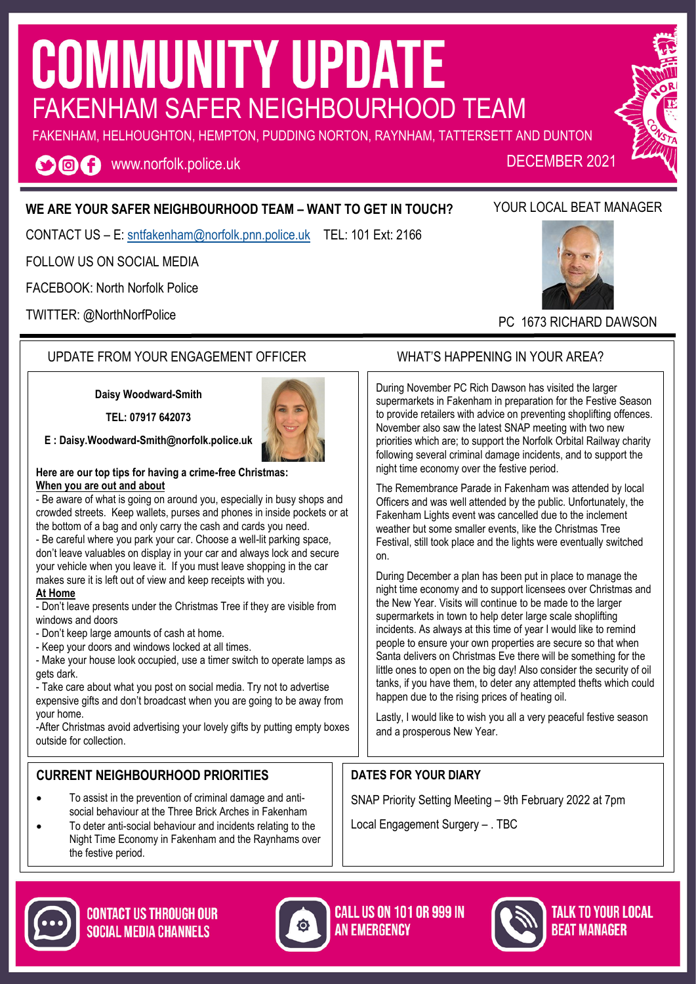# **COMMUNITY UPDATE** FAKENHAM SAFER NEIGHBOURHOOD TEAM

FAKENHAM, HELHOUGHTON, HEMPTON, PUDDING NORTON, RAYNHAM, TATTERSETT AND DUNTON

**O回日** www.norfolk.police.uk

#### **WE ARE YOUR SAFER NEIGHBOURHOOD TEAM – WANT TO GET IN TOUCH?**

CONTACT US – E: [sntfakenham@norfolk.pnn.police.uk](mailto:sntwells@norfolk.pnn.police.uk) TEL: 101 Ext: 2166

FOLLOW US ON SOCIAL MEDIA

FACEBOOK: North Norfolk Police

TWITTER: @NorthNorfPolice

#### UPDATE FROM YOUR ENGAGEMENT OFFICER WHAT'S HAPPENING IN YOUR AREA?

**Daisy Woodward-Smith**

**TEL: 07917 642073**

**E : [Daisy.Woodward-Smith@norfolk.police.uk](mailto:Paula.Gilluley@norfolk.pnn.police.uk)**



- Be aware of what is going on around you, especially in busy shops and crowded streets. Keep wallets, purses and phones in inside pockets or at the bottom of a bag and only carry the cash and cards you need.

- Be careful where you park your car. Choose a well-lit parking space, don't leave valuables on display in your car and always lock and secure your vehicle when you leave it. If you must leave shopping in the car makes sure it is left out of view and keep receipts with you.

#### **At Home**

- Don't leave presents under the Christmas Tree if they are visible from windows and doors

- Don't keep large amounts of cash at home.

- Keep your doors and windows locked at all times.

- Make your house look occupied, use a timer switch to operate lamps as gets dark.

- Take care about what you post on social media. Try not to advertise expensive gifts and don't broadcast when you are going to be away from your home.

-After Christmas avoid advertising your lovely gifts by putting empty boxes outside for collection.

#### **CURRENT NEIGHBOURHOOD PRIORITIES**

- To assist in the prevention of criminal damage and antisocial behaviour at the Three Brick Arches in Fakenham
- To deter anti-social behaviour and incidents relating to the Night Time Economy in Fakenham and the Raynhams over the festive period.

During November PC Rich Dawson has visited the larger supermarkets in Fakenham in preparation for the Festive Season to provide retailers with advice on preventing shoplifting offences. November also saw the latest SNAP meeting with two new priorities which are; to support the Norfolk Orbital Railway charity following several criminal damage incidents, and to support the night time economy over the festive period.

The Remembrance Parade in Fakenham was attended by local Officers and was well attended by the public. Unfortunately, the Fakenham Lights event was cancelled due to the inclement weather but some smaller events, like the Christmas Tree Festival, still took place and the lights were eventually switched on.

During December a plan has been put in place to manage the night time economy and to support licensees over Christmas and the New Year. Visits will continue to be made to the larger supermarkets in town to help deter large scale shoplifting incidents. As always at this time of year I would like to remind people to ensure your own properties are secure so that when Santa delivers on Christmas Eve there will be something for the little ones to open on the big day! Also consider the security of oil tanks, if you have them, to deter any attempted thefts which could happen due to the rising prices of heating oil.

Lastly, I would like to wish you all a very peaceful festive season and a prosperous New Year.

### **DATES FOR YOUR DIARY**

SNAP Priority Setting Meeting – 9th February 2022 at 7pm

Local Engagement Surgery – . TBC







TALK TO YOUR LOCAL **REAT MANAGER** 



DECEMBER 2021



PC 1673 RICHARD DAWSON